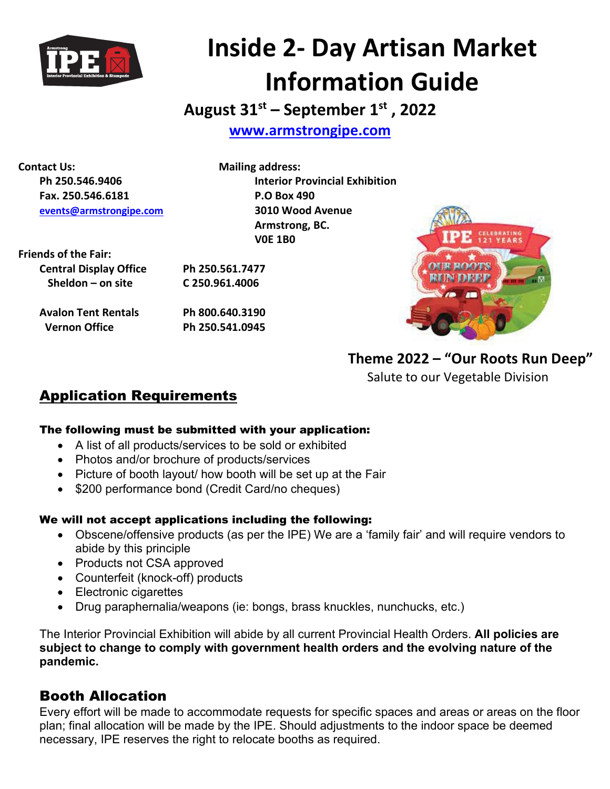

# **Inside 2- Day Artisan Market Information Guide**

**August 31st – September 1st , 2022**

**[www.armstrongipe.com](http://www.armstrongipe.com/)**

**Contact Us: Mailing address: Fax. 250.546.6181 P.O Box 490 [events@armstrongipe.com](mailto:events@armstrongipe.com) 3010 Wood Avenue**

**Ph 250.546.9406 Interior Provincial Exhibition Armstrong, BC. V0E 1B0**

**Friends of the Fair:**

| <b>Central Display Office</b> | Ph 250.561.7477 |
|-------------------------------|-----------------|
| Sheldon $-$ on site           | C 250.961.4006  |

**Avalon Tent Rentals Ph 800.640.3190 Vernon Office Ph 250.541.0945**



**Theme 2022 – "Our Roots Run Deep"** 

Salute to our Vegetable Division

## Application Requirements

### The following must be submitted with your application:

- A list of all products/services to be sold or exhibited
- Photos and/or brochure of products/services
- Picture of booth layout/ how booth will be set up at the Fair
- \$200 performance bond (Credit Card/no cheques)

### We will not accept applications including the following:

- Obscene/offensive products (as per the IPE) We are a 'family fair' and will require vendors to abide by this principle
- Products not CSA approved
- Counterfeit (knock-off) products
- Electronic cigarettes
- Drug paraphernalia/weapons (ie: bongs, brass knuckles, nunchucks, etc.)

The Interior Provincial Exhibition will abide by all current Provincial Health Orders. **All policies are subject to change to comply with government health orders and the evolving nature of the pandemic.** 

## Booth Allocation

Every effort will be made to accommodate requests for specific spaces and areas or areas on the floor plan; final allocation will be made by the IPE. Should adjustments to the indoor space be deemed necessary, IPE reserves the right to relocate booths as required.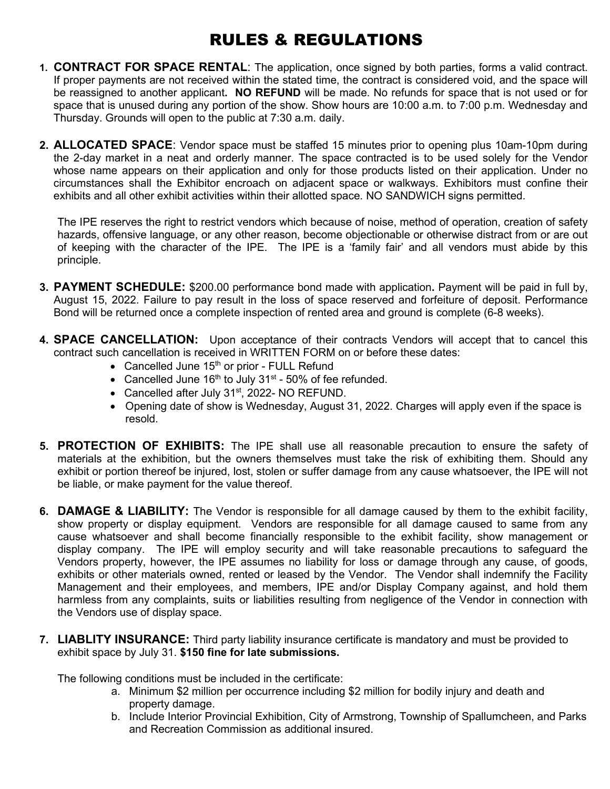## RULES & REGULATIONS

- **1. CONTRACT FOR SPACE RENTAL**: The application, once signed by both parties, forms a valid contract. If proper payments are not received within the stated time, the contract is considered void, and the space will be reassigned to another applicant**. NO REFUND** will be made. No refunds for space that is not used or for space that is unused during any portion of the show. Show hours are 10:00 a.m. to 7:00 p.m. Wednesday and Thursday. Grounds will open to the public at 7:30 a.m. daily.
- **2. ALLOCATED SPACE**: Vendor space must be staffed 15 minutes prior to opening plus 10am-10pm during the 2-day market in a neat and orderly manner. The space contracted is to be used solely for the Vendor whose name appears on their application and only for those products listed on their application. Under no circumstances shall the Exhibitor encroach on adjacent space or walkways. Exhibitors must confine their exhibits and all other exhibit activities within their allotted space. NO SANDWICH signs permitted.

The IPE reserves the right to restrict vendors which because of noise, method of operation, creation of safety hazards, offensive language, or any other reason, become objectionable or otherwise distract from or are out of keeping with the character of the IPE. The IPE is a 'family fair' and all vendors must abide by this principle.

- **3. PAYMENT SCHEDULE:** \$200.00 performance bond made with application**.** Payment will be paid in full by, August 15, 2022. Failure to pay result in the loss of space reserved and forfeiture of deposit. Performance Bond will be returned once a complete inspection of rented area and ground is complete (6-8 weeks).
- **4. SPACE CANCELLATION:** Upon acceptance of their contracts Vendors will accept that to cancel this contract such cancellation is received in WRITTEN FORM on or before these dates:
	- Cancelled June  $15<sup>th</sup>$  or prior FULL Refund
	- Cancelled June  $16<sup>th</sup>$  to July 31<sup>st</sup> 50% of fee refunded.
	- Cancelled after July 31<sup>st</sup>, 2022- NO REFUND.
	- Opening date of show is Wednesday, August 31, 2022. Charges will apply even if the space is resold.
- **5. PROTECTION OF EXHIBITS:** The IPE shall use all reasonable precaution to ensure the safety of materials at the exhibition, but the owners themselves must take the risk of exhibiting them. Should any exhibit or portion thereof be injured, lost, stolen or suffer damage from any cause whatsoever, the IPE will not be liable, or make payment for the value thereof.
- **6. DAMAGE & LIABILITY:** The Vendor is responsible for all damage caused by them to the exhibit facility, show property or display equipment. Vendors are responsible for all damage caused to same from any cause whatsoever and shall become financially responsible to the exhibit facility, show management or display company. The IPE will employ security and will take reasonable precautions to safeguard the Vendors property, however, the IPE assumes no liability for loss or damage through any cause, of goods, exhibits or other materials owned, rented or leased by the Vendor. The Vendor shall indemnify the Facility Management and their employees, and members, IPE and/or Display Company against, and hold them harmless from any complaints, suits or liabilities resulting from negligence of the Vendor in connection with the Vendors use of display space.
- **7. LIABLITY INSURANCE:** Third party liability insurance certificate is mandatory and must be provided to exhibit space by July 31. **\$150 fine for late submissions.**

The following conditions must be included in the certificate:

- a. Minimum \$2 million per occurrence including \$2 million for bodily injury and death and property damage.
- b. Include Interior Provincial Exhibition, City of Armstrong, Township of Spallumcheen, and Parks and Recreation Commission as additional insured.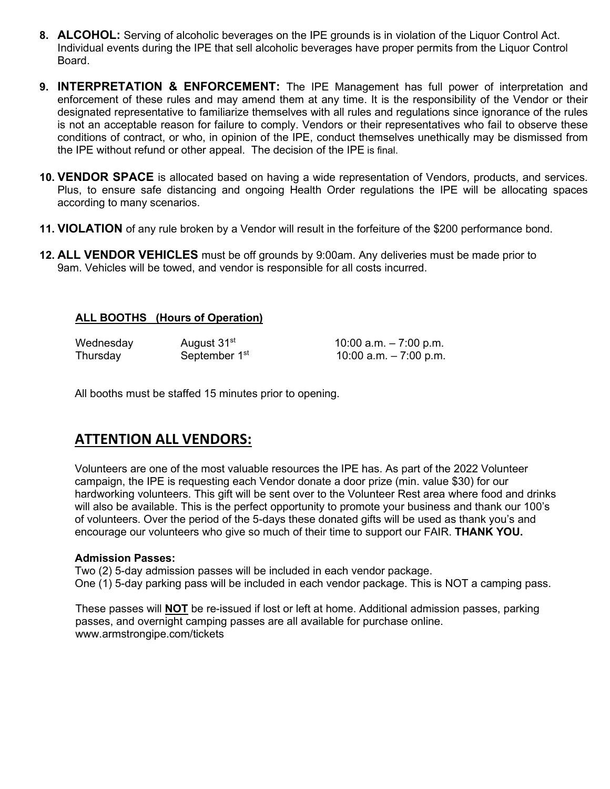- **8. ALCOHOL:** Serving of alcoholic beverages on the IPE grounds is in violation of the Liquor Control Act. Individual events during the IPE that sell alcoholic beverages have proper permits from the Liquor Control Board.
- **9. INTERPRETATION & ENFORCEMENT:** The IPE Management has full power of interpretation and enforcement of these rules and may amend them at any time. It is the responsibility of the Vendor or their designated representative to familiarize themselves with all rules and regulations since ignorance of the rules is not an acceptable reason for failure to comply. Vendors or their representatives who fail to observe these conditions of contract, or who, in opinion of the IPE, conduct themselves unethically may be dismissed from the IPE without refund or other appeal. The decision of the IPE is final.
- **10. VENDOR SPACE** is allocated based on having a wide representation of Vendors, products, and services. Plus, to ensure safe distancing and ongoing Health Order regulations the IPE will be allocating spaces according to many scenarios.
- **11. VIOLATION** of any rule broken by a Vendor will result in the forfeiture of the \$200 performance bond.
- **12. ALL VENDOR VEHICLES** must be off grounds by 9:00am. Any deliveries must be made prior to 9am. Vehicles will be towed, and vendor is responsible for all costs incurred.

### **ALL BOOTHS (Hours of Operation)**

Wednesday  $August 31^{st}$  10:00 a.m. – 7:00 p.m.<br>Thursday September 1<sup>st</sup> 10:00 a.m. – 7:00 p.m. Thursday September  $1<sup>st</sup>$  10:00 a.m.  $-7:00$  p.m.

All booths must be staffed 15 minutes prior to opening.

### **ATTENTION ALL VENDORS:**

Volunteers are one of the most valuable resources the IPE has. As part of the 2022 Volunteer campaign, the IPE is requesting each Vendor donate a door prize (min. value \$30) for our hardworking volunteers. This gift will be sent over to the Volunteer Rest area where food and drinks will also be available. This is the perfect opportunity to promote your business and thank our 100's of volunteers. Over the period of the 5-days these donated gifts will be used as thank you's and encourage our volunteers who give so much of their time to support our FAIR. **THANK YOU.**

### **Admission Passes:**

Two (2) 5-day admission passes will be included in each vendor package. One (1) 5-day parking pass will be included in each vendor package. This is NOT a camping pass.

These passes will **NOT** be re-issued if lost or left at home. Additional admission passes, parking passes, and overnight camping passes are all available for purchase online. www.armstrongipe.com/tickets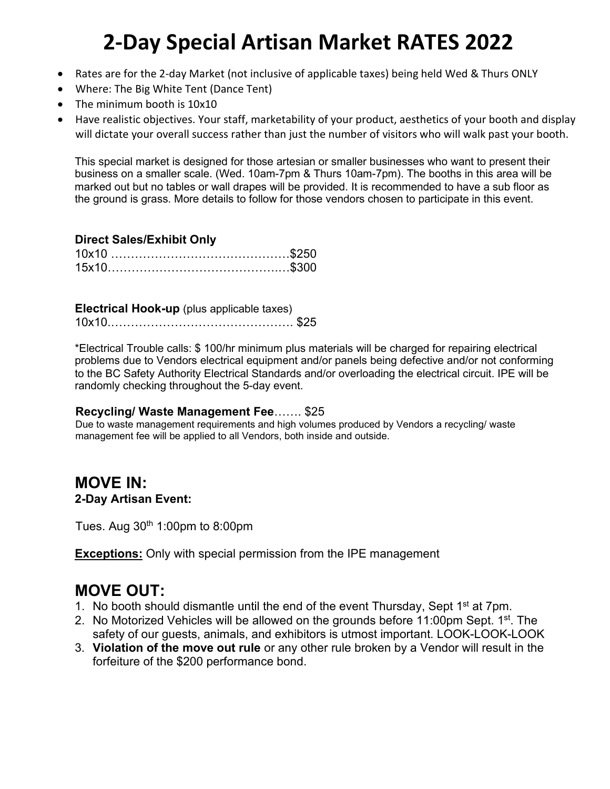## **2-Day Special Artisan Market RATES 2022**

- Rates are for the 2-day Market (not inclusive of applicable taxes) being held Wed & Thurs ONLY
- Where: The Big White Tent (Dance Tent)
- The minimum booth is 10x10
- Have realistic objectives. Your staff, marketability of your product, aesthetics of your booth and display will dictate your overall success rather than just the number of visitors who will walk past your booth.

This special market is designed for those artesian or smaller businesses who want to present their business on a smaller scale. (Wed. 10am-7pm & Thurs 10am-7pm). The booths in this area will be marked out but no tables or wall drapes will be provided. It is recommended to have a sub floor as the ground is grass. More details to follow for those vendors chosen to participate in this event.

### **Direct Sales/Exhibit Only**

**Electrical Hook-up** (plus applicable taxes) 10x10.………………………………………. \$25

\*Electrical Trouble calls: \$ 100/hr minimum plus materials will be charged for repairing electrical problems due to Vendors electrical equipment and/or panels being defective and/or not conforming to the BC Safety Authority Electrical Standards and/or overloading the electrical circuit. IPE will be randomly checking throughout the 5-day event.

### **Recycling/ Waste Management Fee**……. \$25

Due to waste management requirements and high volumes produced by Vendors a recycling/ waste management fee will be applied to all Vendors, both inside and outside.

### **MOVE IN: 2-Day Artisan Event:**

Tues. Aug  $30<sup>th</sup>$  1:00pm to 8:00pm

**Exceptions:** Only with special permission from the IPE management

## **MOVE OUT:**

- 1. No booth should dismantle until the end of the event Thursday, Sept 1<sup>st</sup> at 7pm.
- 2. No Motorized Vehicles will be allowed on the grounds before 11:00pm Sept.  $1^{st}$ . The safety of our guests, animals, and exhibitors is utmost important. LOOK-LOOK-LOOK
- 3. **Violation of the move out rule** or any other rule broken by a Vendor will result in the forfeiture of the \$200 performance bond.